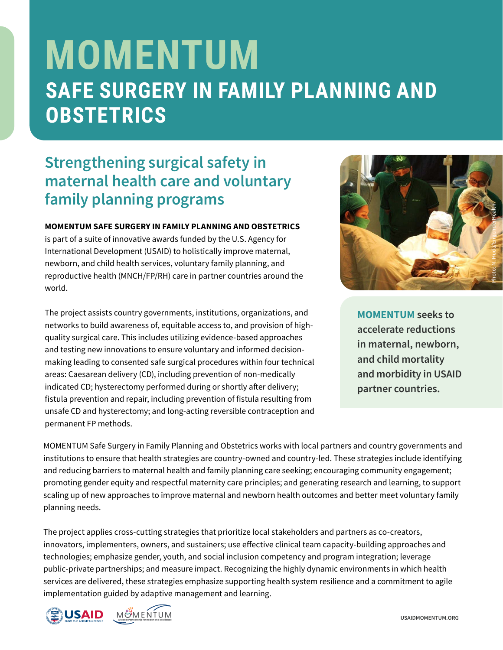# **MOMENTUM SAFE SURGERY IN FAMILY PLANNING AND OBSTETRICS**

## **Strengthening surgical safety in maternal health care and voluntary family planning programs**

#### **MOMENTUM SAFE SURGERY IN FAMILY PLANNING AND OBSTETRICS**

is part of a suite of innovative awards funded by the U.S. Agency for International Development (USAID) to holistically improve maternal, newborn, and child health services, voluntary family planning, and reproductive health (MNCH/FP/RH) care in partner countries around the world.

The project assists country governments, institutions, organizations, and networks to build awareness of, equitable access to, and provision of highquality surgical care. This includes utilizing evidence-based approaches and testing new innovations to ensure voluntary and informed decisionmaking leading to consented safe surgical procedures within four technical areas: Caesarean delivery (CD), including prevention of non-medically indicated CD; hysterectomy performed during or shortly after delivery; fistula prevention and repair, including prevention of fistula resulting from unsafe CD and hysterectomy; and long-acting reversible contraception and permanent FP methods.



**MOMENTUM seeks to accelerate reductions in maternal, newborn, and child mortality and morbidity in USAID partner countries.**

MOMENTUM Safe Surgery in Family Planning and Obstetrics works with local partners and country governments and institutions to ensure that health strategies are country-owned and country-led. These strategies include identifying and reducing barriers to maternal health and family planning care seeking; encouraging community engagement; promoting gender equity and respectful maternity care principles; and generating research and learning, to support scaling up of new approaches to improve maternal and newborn health outcomes and better meet voluntary family planning needs.

The project applies cross-cutting strategies that prioritize local stakeholders and partners as co-creators, innovators, implementers, owners, and sustainers; use effective clinical team capacity-building approaches and technologies; emphasize gender, youth, and social inclusion competency and program integration; leverage public-private partnerships; and measure impact. Recognizing the highly dynamic environments in which health services are delivered, these strategies emphasize supporting health system resilience and a commitment to agile implementation guided by adaptive management and learning.